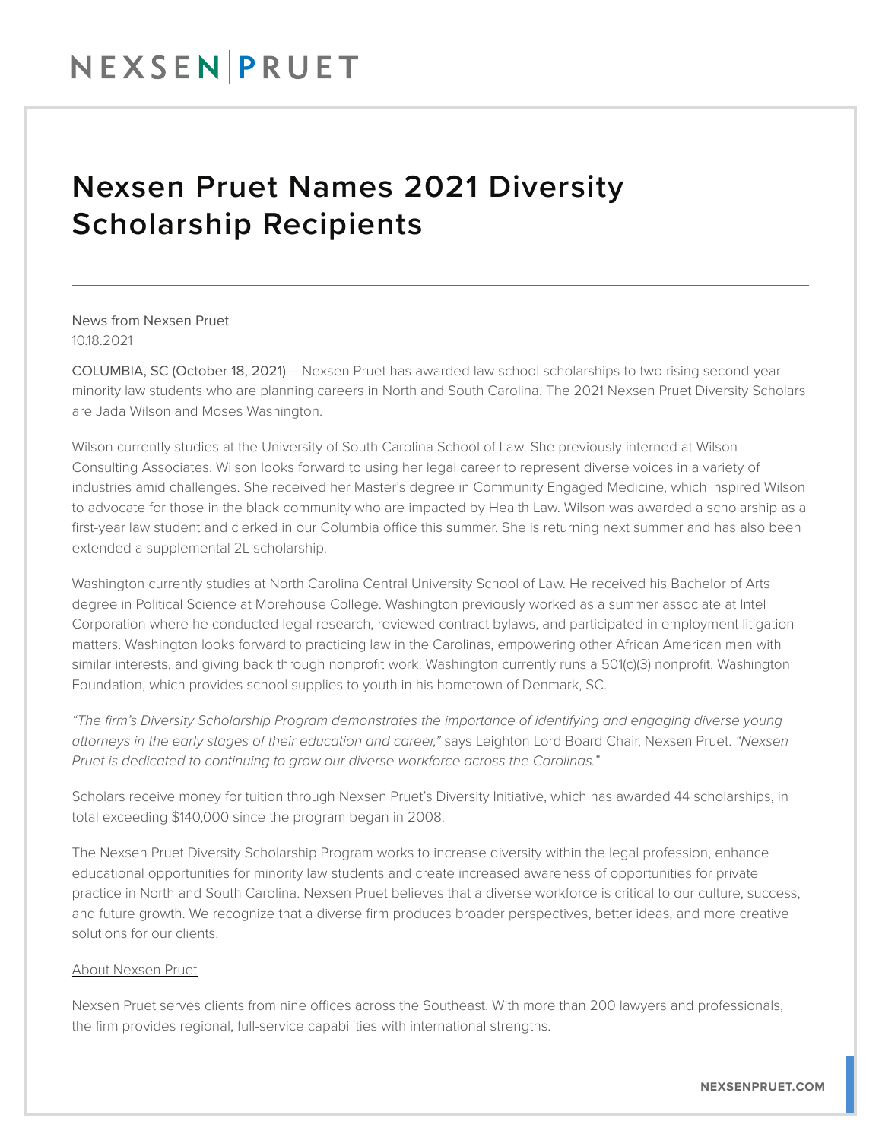## NEXSENPRUET

## Nexsen Pruet Names 2021 Diversity Scholarship Recipients

News from Nexsen Pruet 10.18.2021

COLUMBIA, SC (October 18, 2021) -- Nexsen Pruet has awarded law school scholarships to two rising second-year minority law students who are planning careers in North and South Carolina. The 2021 Nexsen Pruet Diversity Scholars are Jada Wilson and Moses Washington.

Wilson currently studies at the University of South Carolina School of Law. She previously interned at Wilson Consulting Associates. Wilson looks forward to using her legal career to represent diverse voices in a variety of industries amid challenges. She received her Master's degree in Community Engaged Medicine, which inspired Wilson to advocate for those in the black community who are impacted by Health Law. Wilson was awarded a scholarship as a first-year law student and clerked in our Columbia office this summer. She is returning next summer and has also been extended a supplemental 2L scholarship.

Washington currently studies at North Carolina Central University School of Law. He received his Bachelor of Arts degree in Political Science at Morehouse College. Washington previously worked as a summer associate at Intel Corporation where he conducted legal research, reviewed contract bylaws, and participated in employment litigation matters. Washington looks forward to practicing law in the Carolinas, empowering other African American men with similar interests, and giving back through nonprofit work. Washington currently runs a 501(c)(3) nonprofit, Washington Foundation, which provides school supplies to youth in his hometown of Denmark, SC.

*"The firm's Diversity Scholarship Program demonstrates the importance of identifying and engaging diverse young attorneys in the early stages of their education and career,"* says Leighton Lord Board Chair, Nexsen Pruet. *"Nexsen Pruet is dedicated to continuing to grow our diverse workforce across the Carolinas."*

Scholars receive money for tuition through Nexsen Pruet's Diversity Initiative, which has awarded 44 scholarships, in total exceeding \$140,000 since the program began in 2008.

The Nexsen Pruet Diversity Scholarship Program works to increase diversity within the legal profession, enhance educational opportunities for minority law students and create increased awareness of opportunities for private practice in North and South Carolina. Nexsen Pruet believes that a diverse workforce is critical to our culture, success, and future growth. We recognize that a diverse firm produces broader perspectives, better ideas, and more creative solutions for our clients.

## About Nexsen Pruet

Nexsen Pruet serves clients from nine offices across the Southeast. With more than 200 lawyers and professionals, the firm provides regional, full-service capabilities with international strengths.